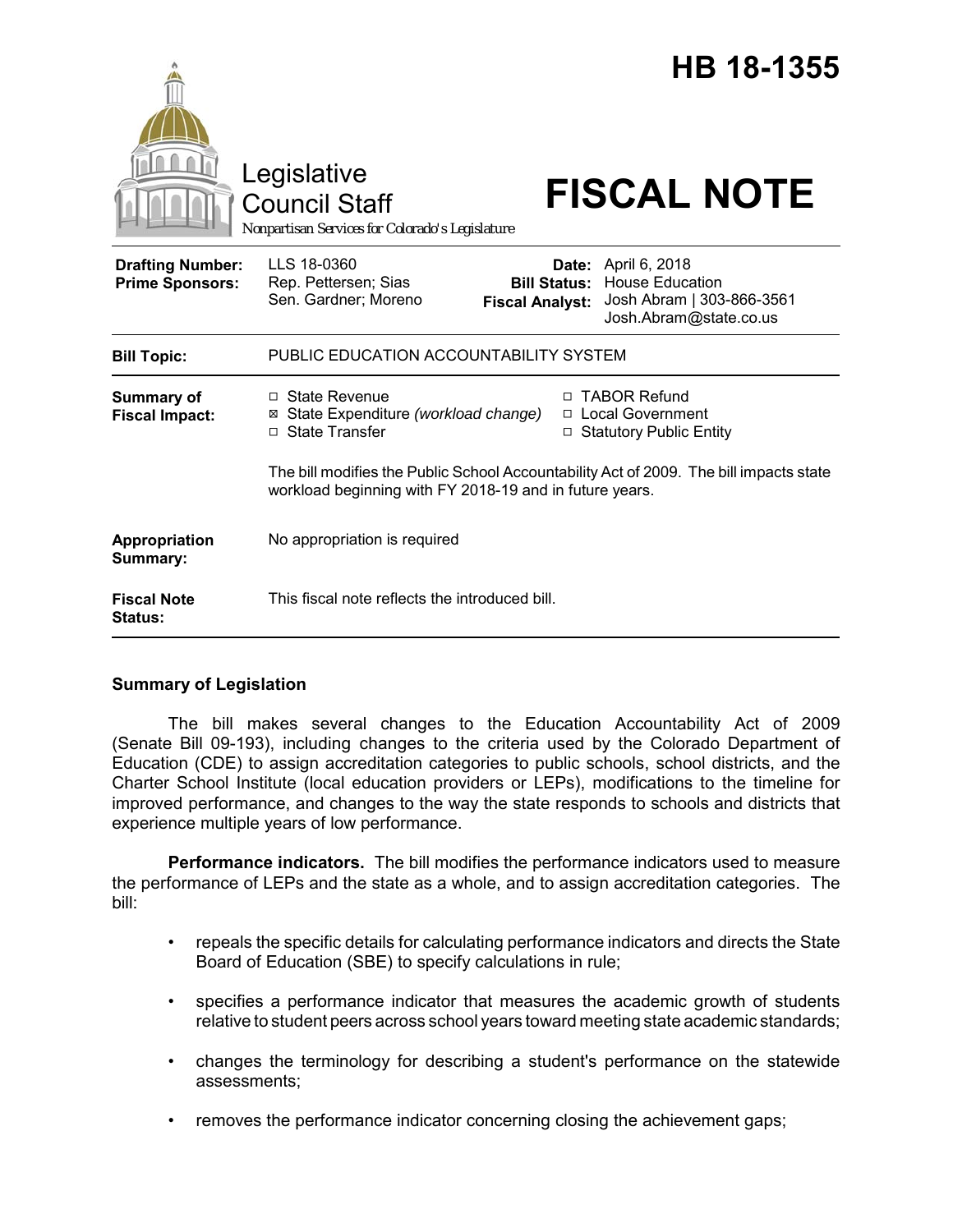|                                                   | Legislative<br><b>Council Staff</b><br>Nonpartisan Services for Colorado's Legislature                                                            |                                               | HB 18-1355<br><b>FISCAL NOTE</b>                                                                     |
|---------------------------------------------------|---------------------------------------------------------------------------------------------------------------------------------------------------|-----------------------------------------------|------------------------------------------------------------------------------------------------------|
| <b>Drafting Number:</b><br><b>Prime Sponsors:</b> | LLS 18-0360<br>Rep. Pettersen; Sias<br>Sen. Gardner; Moreno                                                                                       | <b>Bill Status:</b><br><b>Fiscal Analyst:</b> | Date: April 6, 2018<br><b>House Education</b><br>Josh Abram   303-866-3561<br>Josh.Abram@state.co.us |
| <b>Bill Topic:</b>                                | PUBLIC EDUCATION ACCOUNTABILITY SYSTEM                                                                                                            |                                               |                                                                                                      |
| Summary of<br><b>Fiscal Impact:</b>               | $\Box$ State Revenue<br>⊠ State Expenditure (workload change)<br>□ State Transfer                                                                 |                                               | □ TABOR Refund<br>□ Local Government<br>□ Statutory Public Entity                                    |
|                                                   | The bill modifies the Public School Accountability Act of 2009. The bill impacts state<br>workload beginning with FY 2018-19 and in future years. |                                               |                                                                                                      |
| Appropriation<br>Summary:                         | No appropriation is required                                                                                                                      |                                               |                                                                                                      |
| <b>Fiscal Note</b><br>Status:                     | This fiscal note reflects the introduced bill.                                                                                                    |                                               |                                                                                                      |

# **Summary of Legislation**

The bill makes several changes to the Education Accountability Act of 2009 (Senate Bill 09-193), including changes to the criteria used by the Colorado Department of Education (CDE) to assign accreditation categories to public schools, school districts, and the Charter School Institute (local education providers or LEPs), modifications to the timeline for improved performance, and changes to the way the state responds to schools and districts that experience multiple years of low performance.

**Performance indicators.** The bill modifies the performance indicators used to measure the performance of LEPs and the state as a whole, and to assign accreditation categories. The bill:

- repeals the specific details for calculating performance indicators and directs the State Board of Education (SBE) to specify calculations in rule;
- specifies a performance indicator that measures the academic growth of students relative to student peers across school years toward meeting state academic standards;
- changes the terminology for describing a student's performance on the statewide assessments;
- removes the performance indicator concerning closing the achievement gaps;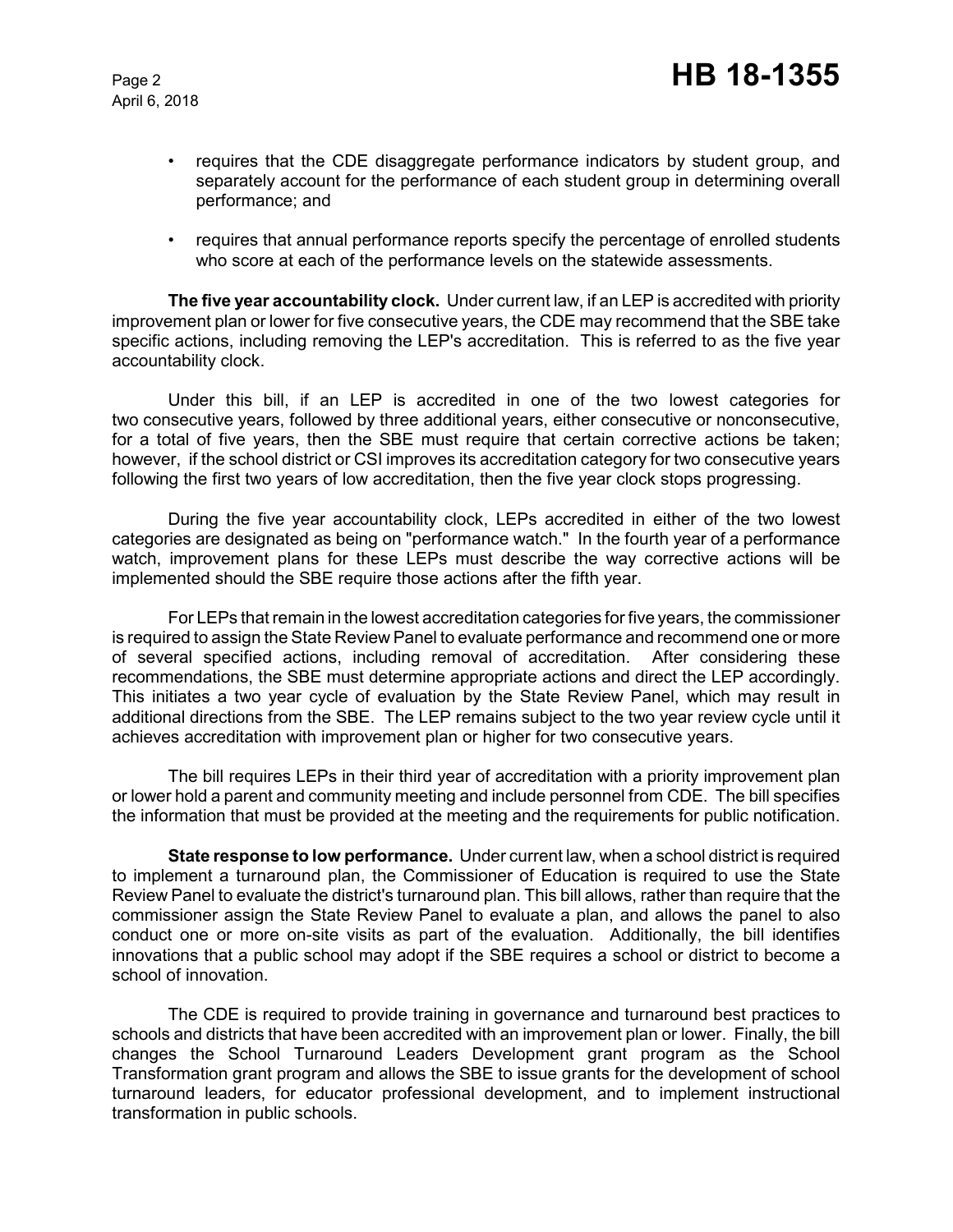April 6, 2018

- requires that the CDE disaggregate performance indicators by student group, and separately account for the performance of each student group in determining overall performance; and
- requires that annual performance reports specify the percentage of enrolled students who score at each of the performance levels on the statewide assessments.

**The five year accountability clock.** Under current law, if an LEP is accredited with priority improvement plan or lower for five consecutive years, the CDE may recommend that the SBE take specific actions, including removing the LEP's accreditation. This is referred to as the five year accountability clock.

Under this bill, if an LEP is accredited in one of the two lowest categories for two consecutive years, followed by three additional years, either consecutive or nonconsecutive, for a total of five years, then the SBE must require that certain corrective actions be taken; however, if the school district or CSI improves its accreditation category for two consecutive years following the first two years of low accreditation, then the five year clock stops progressing.

During the five year accountability clock, LEPs accredited in either of the two lowest categories are designated as being on "performance watch." In the fourth year of a performance watch, improvement plans for these LEPs must describe the way corrective actions will be implemented should the SBE require those actions after the fifth year.

For LEPs that remain in the lowest accreditation categories for five years, the commissioner is required to assign the State Review Panel to evaluate performance and recommend one or more of several specified actions, including removal of accreditation. After considering these recommendations, the SBE must determine appropriate actions and direct the LEP accordingly. This initiates a two year cycle of evaluation by the State Review Panel, which may result in additional directions from the SBE. The LEP remains subject to the two year review cycle until it achieves accreditation with improvement plan or higher for two consecutive years.

The bill requires LEPs in their third year of accreditation with a priority improvement plan or lower hold a parent and community meeting and include personnel from CDE. The bill specifies the information that must be provided at the meeting and the requirements for public notification.

**State response to low performance.** Under current law, when a school district is required to implement a turnaround plan, the Commissioner of Education is required to use the State Review Panel to evaluate the district's turnaround plan. This bill allows, rather than require that the commissioner assign the State Review Panel to evaluate a plan, and allows the panel to also conduct one or more on-site visits as part of the evaluation. Additionally, the bill identifies innovations that a public school may adopt if the SBE requires a school or district to become a school of innovation.

The CDE is required to provide training in governance and turnaround best practices to schools and districts that have been accredited with an improvement plan or lower. Finally, the bill changes the School Turnaround Leaders Development grant program as the School Transformation grant program and allows the SBE to issue grants for the development of school turnaround leaders, for educator professional development, and to implement instructional transformation in public schools.